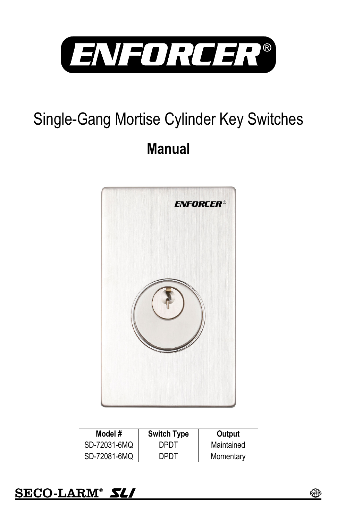

# Single-Gang Mortise Cylinder Key Switches **Manual**



| Model #      | <b>Switch Type</b> | Output     |
|--------------|--------------------|------------|
| SD-72031-6MQ | דחיח               | Maintained |
| SD-72081-6MQ | DPDT               | Momentary  |



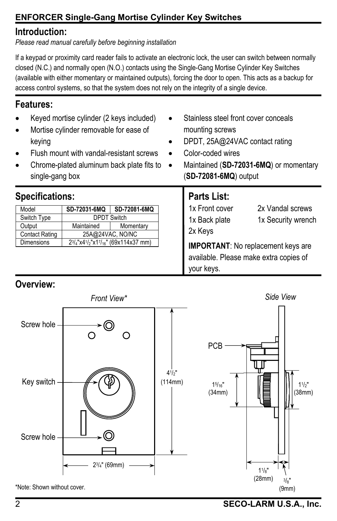## **ENFORCER Single-Gang Mortise Cylinder Key Switches**

#### **Introduction:**

*Please read manual carefully before beginning installation* 

If a keypad or proximity card reader fails to activate an electronic lock, the user can switch between normally closed (N.C.) and normally open (N.O.) contacts using the Single-Gang Mortise Cylinder Key Switches (available with either momentary or maintained outputs), forcing the door to open. This acts as a backup for access control systems, so that the system does not rely on the integrity of a single device.

#### **Features:**

- Keyed mortise cylinder (2 keys included)
- Mortise cylinder removable for ease of keying
- Flush mount with vandal-resistant screws
- Chrome-plated aluminum back plate fits to single-gang box

## **Specifications:**

| Model                 | SD-72031-6MQ                                 | SD-72081-6MQ |  |
|-----------------------|----------------------------------------------|--------------|--|
| Switch Type           | <b>DPDT Switch</b>                           |              |  |
| Output                | Maintained                                   | Momentary    |  |
| <b>Contact Rating</b> | 25A@24VAC, NO/NC                             |              |  |
| <b>Dimensions</b>     | $2\frac{3}{4}$ "x41/2"x17/16" (69x114x37 mm) |              |  |

- Stainless steel front cover conceals mounting screws
- DPDT, 25A@24VAC contact rating
- Color-coded wires
- Maintained (**SD-72031-6MQ**) or momentary (**SD-72081-6MQ**) output

#### **Parts List:**

1x Front cover 1x Back plate 2x Keys 2x Vandal screws 1x Security wrench

**IMPORTANT**: No replacement keys are available. Please make extra copies of your keys.

## **Overview:**



2 **SECO-LARM U.S.A., Inc.**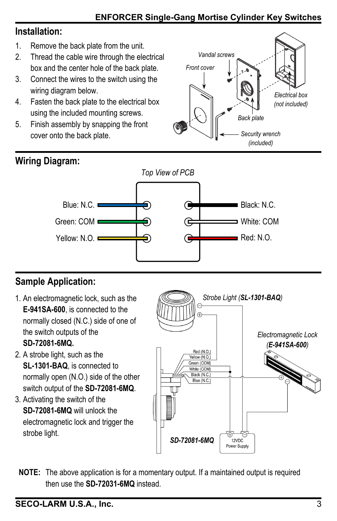#### **ENFORCER Single-Gang Mortise Cylinder Key Switches**

## **Installation:**

- 1. Remove the back plate from the unit.
- box and the center hole of the back plate. 2. Thread the cable wire through the electrical
- 3. Connect the wires to the switch using the wiring diagram below.
- 4. Fasten the back plate to the electrical box using the included mounting screws.
- 5. Finish assembly by snapping the front cover onto the back plate.





## **Sample Application:**

- 1. An electromagnetic lock, such as the **E-941SA-600**, is connected to the normally closed (N.C.) side of one of the switch outputs of the **SD-72081-6MQ.**
- 2. A strobe light, such as the **SL-1301-BAQ**, is connected to normally open (N.O.) side of the other switch output of the **SD-72081-6MQ**.
- 3. Activating the switch of the **SD-72081-6MQ** will unlock the electromagnetic lock and trigger the strobe light.



**NOTE:** The above application is for a momentary output. If a maintained output is required then use the **SD-72031-6MQ** instead.